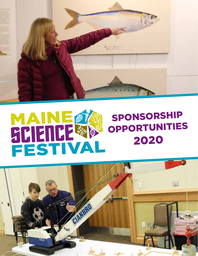

# **MANE #2** SPONSORSHIP OPPORTUNITIES 2020

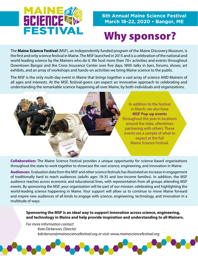

### **6th Annual Maine Science Festival March 18-22, 2020 • Bangor, ME**

# Why sponsor?

The **Maine Science Festival** (MSF), an independently funded program of the Maine Discovery Museum, is the first and only science festival in Maine. The MSF launched in 2015 and is a celebration of the national and world leading science by the Mainers who do it. We host more than 70+ activities and events throughout Downtown Bangor and the Cross Insurance Center over five days. With talks in bars, forums, shows, art exhibits, and an array of workshops and hands-on activities we bring Maine science to the public.

The MSF is the only multi-day event in Maine that brings together a vast array of science AND Mainers of all ages and interests. At the MSF, festival-goers can expect an innovative approach to celebrating and understanding the remarkable science happening all over Maine, by both individuals and organizations.



**Collaboration:** The Maine Science Festival provides a unique opportunity for science-based organizations throughout the state to work together to showcase the vast science, engineering, and innovation in Maine.

Audiences: Evaluation data from the MSF and other science festivals has illustrated an increase in engagement of traditionally hard to reach audiences (adults ages 18-35 and low-income families). In addition, the MSF audience reaches across economic and educational lines, with representation from all groups attending MSF events. By sponsoring the MSF, your organization will be part of our mission: celebrating and highlighting the world-leading science happening in Maine. Your support will allow us to continue to move Maine forward and inspire new audiences of all kinds to engage with science, engineering, technology, and innovation in a multitude of ways.

**Sponsoring the MSF is an ideal way to support innovation across science, engineering, and technology in Maine and help provide inspiration and understanding to all Mainers.**

*For more information contact Kate Dickerson, Director kdickerson@mainesciencefestival.org or visit: www.mainesciencefestival.org*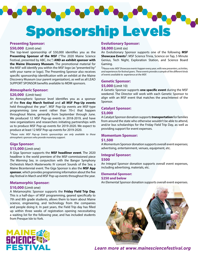Sponsorship Levels

#### **Presenting Sponsor:**

#### **\$50,000** (Limit one)

The top-level sponsorship of \$50,000 identifies you as the **Presenting Sponsor of the MSF** ("The 2020 Maine Science Festival, presented by ABC, Inc.") **AND an exhibit sponsor with the Maine Discovery Museum**. The promotional material for the MSF will identify you within the MSF logo (as "presented by" with your name or logo). The Presenting Sponsor also receives specific sponsorship identification with an exhibit at the Maine Discovery Museum (our parent organization), as well as all LEAD SUPPORT SPONSOR benefits available to MDM sponsors.

 $\blacksquare$ 

#### **Atmospheric Sponsor:**

#### **\$20,000** (Limit two)

An Atmospheric Sponsor level identifies you as a sponsor of the **five day March festival** and **all MSF Pop-Up events**  held throughout the year<sup>1</sup>. MSF Pop-Up events are MSF-type programming (one event rather than 70+) that happen throughout Maine, generally from September through June. We produced 12 MSF Pop-up events in 2018-2019, and have new organizations and researchers initiating partnerships with us to produce MSF Pop-up events for 2019-2020. We expect to produce at least 12 MSF Pop-up events for 2019-2020.

1*Please note: MSF Pop-up Events sponsorships are only available to those atmospheric sponsors who provide monetary support.*

#### **Giga Sponsor:**

#### **\$15,000** (Limit one)

A Giga Sponsor supports the **MSF headliner event**. The 2020 headliner is the world premiere of the MSF-commissioned piece *The Warming Sea*, in conjunction with the Bangor Symphony Orchestra's March Masterworks IV concert Sounds of the Sea; a Maine Bicentennial event. The Giga Sponsor is also the **MSF App sponsor**, which provides programming information about the five day festival in March and MSF Pop-up events throughout the year.

#### **Metamorphic Sponsor:**

#### **\$10,000** (Limit one)

A Metamorphic Sponsor supports the **Friday Field Trip Day**. This is a half-day+ of MSF programming, geared specifically to 7th and 8th grade students, allows them to learn about Maine science, engineering, and technology from the companies and people doing it. In past years, the Field Trip day has filled up within three weeks of registration opening necessitating a waiting list for the following year, and has included students from Presque Isle to York.

#### **Evolutionary Sponsor:**

#### **\$8,000** (Limit six)

An Evolutionary Sponsor supports one of the following **MSF Showcase Events**<sup>2</sup>: MSF Science Trivia, Science on Tap, 5 Minute Genius, Tech Night, Exploration Station, and Science Board Gaming.

2*Please note: MSF Showcase events happen every year, with new presenters, activities, and experiences for festival goers. These events provide a sample of the different kinds of events available to experience at the MSF.*

#### **Genetic Sponsor:**

#### **\$5,000** (Limit 10)

A Genetic Sponsor supports **one specific event** during the MSF weekend. The Director will work with each Genetic Sponsor to align with an MSF event that matches the area/interest of the Sponsor.

## **Catalyst Sponsor:**

### **\$3,000**

A Catalyst Sponsor donation supports **transportation** for families from around the state who otherwise wouldn't be able to attend, and/or bus scholarships for the Friday Field Trip Day, as well as providing support for event expenses.

#### **Momentum Sponsor:**

#### **\$1,500**

A Momentum Sponsor donation supports overall event expenses; advertising, entertainment, venues, equipment, etc.

## **Integral Sponsor:**

### **\$500**

An Integral Sponsor donation supports overall event expenses, including advertising, materials, etc.

#### **Elemental Sponsor: \$250 and below**

An Elemental Sponsor donation supports overall event expenses.



*Learn more at www.mainesciencefestival.org*